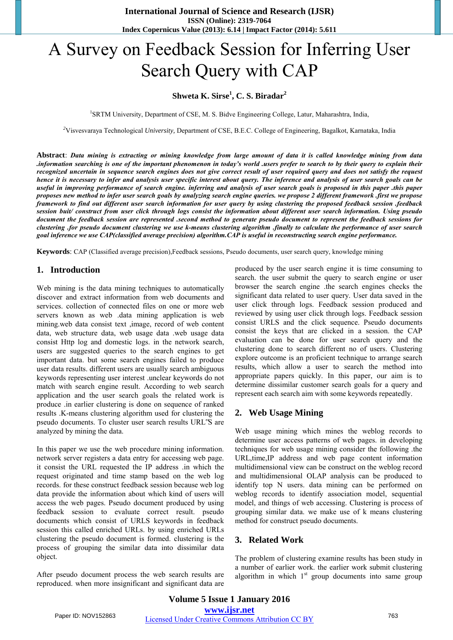# A Survey on Feedback Session for Inferring User Search Query with CAP

# **Shweta K. Sirse<sup>1</sup> , C. S. Biradar<sup>2</sup>**

<sup>1</sup>SRTM University, Department of CSE, M. S. Bidve Engineering College, Latur, Maharashtra, India,

*<sup>2</sup>*Visvesvaraya Technological *University,* Department of CSE, B.E.C. College of Engineering, Bagalkot, Karnataka, India

**Abstract**: *Data mining is extracting or mining knowledge from large amount of data it is called knowledge mining from data .information searching is one of the important phenomenon in today's world .users prefer to search to by their query to explain their recognized uncertain in sequence search engines does not give correct result of user required query and does not satisfy the request hence it is necessary to infer and analysis user specific interest about query. The inference and analysis of user search goals can be* useful in improving performance of search engine. inferring and analysis of user search goals is proposed in this paper .this paper *proposes new method to infer user search goals by analyzing search engine queries. we propose 2 different framework .first we propose framework to find out different user search information for user query by using clustering the proposed feedback session .feedback session buit/ construct from user click through logs consist the information about different user search information. Using pseudo document the feedback session are represented .second method to generate pseudo document to represent the feedback sessions for clustering .for pseudo document clustering we use k-means clustering algorithm .finally to calculate the performance of user search goal inference we use CAP(classified average precision) algorithm.CAP is useful in reconstructing search engine performance.* 

**Keywords**: CAP (Classified average precision),Feedback sessions, Pseudo documents, user search query, knowledge mining

## **1. Introduction**

Web mining is the data mining techniques to automatically discover and extract information from web documents and services. collection of connected files on one or more web servers known as web .data mining application is web mining.web data consist text ,image, record of web content data, web structure data, web usage data .web usage data consist Http log and domestic logs. in the network search, users are suggested queries to the search engines to get important data. but some search engines failed to produce user data results. different users are usually search ambiguous keywords representing user interest .unclear keywords do not match with search engine result. According to web search application and the user search goals the related work is produce .in earlier clustering is done on sequence of ranked results .K-means clustering algorithm used for clustering the pseudo documents. To cluster user search results URL"S are analyzed by mining the data.

In this paper we use the web procedure mining information. network server registers a data entry for accessing web page. it consist the URL requested the IP address .in which the request originated and time stamp based on the web log records. for these construct feedback session because web log data provide the information about which kind of users will access the web pages. Pseudo document produced by using feedback session to evaluate correct result. pseudo documents which consist of URLS keywords in feedback session this called enriched URLs. by using enriched URLs clustering the pseudo document is formed. clustering is the process of grouping the similar data into dissimilar data object.

After pseudo document process the web search results are reproduced. when more insignificant and significant data are produced by the user search engine it is time consuming to search. the user submit the query to search engine or user browser the search engine .the search engines checks the significant data related to user query. User data saved in the user click through logs. Feedback session produced and reviewed by using user click through logs. Feedback session consist URLS and the click sequence. Pseudo documents consist the keys that are clicked in a session. the CAP evaluation can be done for user search query and the clustering done to search different no of users. Clustering explore outcome is an proficient technique to arrange search results, which allow a user to search the method into appropriate papers quickly. In this paper, our aim is to determine dissimilar customer search goals for a query and represent each search aim with some keywords repeatedly.

### **2. Web Usage Mining**

Web usage mining which mines the weblog records to determine user access patterns of web pages. in developing techniques for web usage mining consider the following .the URL,time,IP address and web page content information multidimensional view can be construct on the weblog record and multidimensional OLAP analysis can be produced to identify top N users. data mining can be performed on weblog records to identify association model, sequential model, and things of web accessing. Clustering is process of grouping similar data. we make use of k means clustering method for construct pseudo documents.

#### **3. Related Work**

The problem of clustering examine results has been study in a number of earlier work. the earlier work submit clustering algorithm in which  $1<sup>st</sup>$  group documents into same group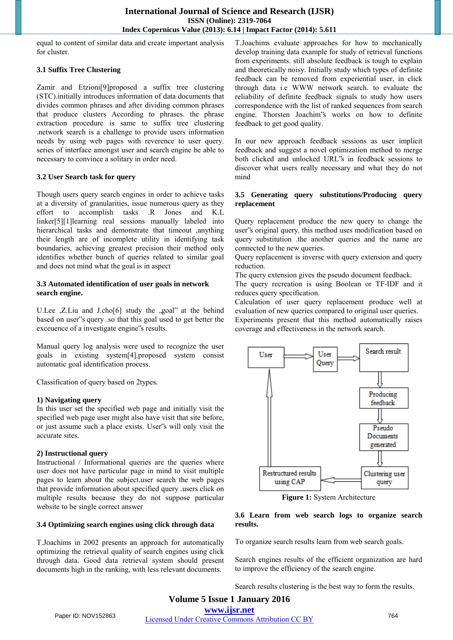equal to content of similar data and create important analysis for cluster.

#### **3.1 Suffix Tree Clustering**

Zamir and Etzioni[9]proposed a suffix tree clustering (STC).initially introduces information of data documents that divides common phrases and after dividing common phrases that produce clusters According to phrases. the phrase extraction procedure is same to suffix tree clustering .network search is a challenge to provide users information needs by using web pages with reverence to user query. series of interface amongst user and search engine be able to necessary to convince a solitary in order need.

#### **3.2 User Search task for query**

Though users query search engines in order to achieve tasks at a diversity of granularities, issue numerous query as they effort to accomplish tasks .R Jones and K.L linker[5][1]learning real sessions manually labeled into hierarchical tasks and demonstrate that timeout ,anything their length are of incomplete utility in identifying task boundaries, achieving greatest precision their method only identifies whether bunch of queries related to similar goal and does not mind what the goal is in aspect

#### **3.3 Automated identification of user goals in network search engine.**

U.Lee ,Z.Liu and J.cho[6] study the ,goal" at the behind based on user"s query .so that this goal used to get better the exceuence of a investigate engine"s results.

Manual query log analysis were used to recognize the user goals in existing system[4].proposed system consist automatic goal identification process.

Classification of query based on 2types.

#### **1) Navigating query**

In this user set the specified web page and initially visit the specified web page user might also have visit that site before, or just assume such a place exists. User"s will only visit the accurate sites.

#### **2) Instructional query**

Instructional / Informational queries are the queries where user does not have particular page in mind to visit multiple pages to learn about the subject.user search the web pages that provide information about specified query .users click on multiple results because they do not suppose particular website to be single correct answer

#### **3.4 Optimizing search engines using click through data**

T.Joachims in 2002 presents an approach for automatically optimizing the retrieval quality of search engines using click through data. Good data retrieval system should present documents high in the ranking, with less relevant documents.

T.Joachims evaluate approaches for how to mechanically develop training data example for study of retrieval functions from experiments. still absolute feedback is tough to explain and theoretically noisy. Initially study which types of definite feedback can be removed from experiential user, in click through data i.e WWW network search. to evaluate the reliability of definite feedback signals to study how users correspondence with the list of ranked sequences from search engine. Thorsten Joachim"s works on how to definite feedback to get good quality.

In our new approach feedback sessions as user implicit feedback and suggest a novel optimization method to merge both clicked and unlocked URL"s in feedback sessions to discover what users really necessary and what they do not mind

#### **3.5 Generating query substitutions/Producing query replacement**

Query replacement produce the new query to change the user"s original query. this method uses modification based on query substitution .the another queries and the name are connected to the new queries.

Query replacement is inverse with query extension and query reduction.

The query extension gives the pseudo document feedback.

The query recreation is using Boolean or TF-IDF and it reduces query specification.

Calculation of user query replacement produce well at evaluation of new queries compared to original user queries.

Experiments present that this method automatically raises coverage and effectiveness in the network search.



**Figure 1:** System Architecture

#### **3.6 Learn from web search logs to organize search results.**

To organize search results learn from web search goals.

Search engines results of the efficient organization are hard to improve the efficiency of the search engine.

Search results clustering is the best way to form the results.

## **Volume 5 Issue 1 January 2016 www.ijsr.net** Paper ID: NOV152863 Licensed Under Creative Commons Attribution CC BY 764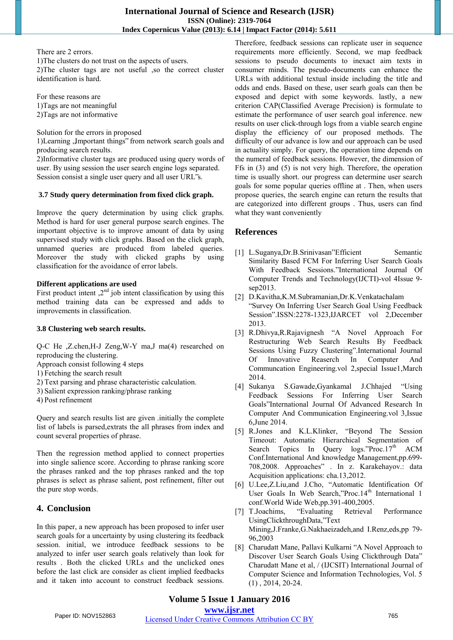There are 2 errors.

1)The clusters do not trust on the aspects of users. 2)The cluster tags are not useful ,so the correct cluster identification is hard.

For these reasons are 1)Tags are not meaningful 2)Tags are not informative

Solution for the errors in proposed

1)Learning , Important things" from network search goals and producing search results.

2)Informative cluster tags are produced using query words of user. By using session the user search engine logs separated. Session consist a single user query and all user URL"s.

#### **3.7 Study query determination from fixed click graph.**

Improve the query determination by using click graphs. Method is hard for user general purpose search engines. The important objective is to improve amount of data by using supervised study with click graphs. Based on the click graph, unnamed queries are produced from labeled queries. Moreover the study with clicked graphs by using classification for the avoidance of error labels.

#### **Different applications are used**

First product intent  $2^{nd}$  job intent classification by using this method training data can be expressed and adds to improvements in classification.

#### **3.8 Clustering web search results.**

Q-C He ,Z.chen,H-J Zeng,W-Y ma,J ma(4) researched on reproducing the clustering.

Approach consist following 4 steps

- 1) Fetching the search result
- 2) Text parsing and phrase characteristic calculation.
- 3) Salient expression ranking/phrase ranking
- 4) Post refinement

Query and search results list are given .initially the complete list of labels is parsed,extrats the all phrases from index and count several properties of phrase.

Then the regression method applied to connect properties into single salience score. According to phrase ranking score the phrases ranked and the top phrases ranked and the top phrases is select as phrase salient, post refinement, filter out the pure stop words.

# **4. Conclusion**

In this paper, a new approach has been proposed to infer user search goals for a uncertainty by using clustering its feedback session. initial, we introduce feedback sessions to be analyzed to infer user search goals relatively than look for results . Both the clicked URLs and the unclicked ones before the last click are consider as client implied feedbacks and it taken into account to construct feedback sessions.

Therefore, feedback sessions can replicate user in sequence requirements more efficiently. Second, we map feedback sessions to pseudo documents to inexact aim texts in consumer minds. The pseudo-documents can enhance the URLs with additional textual inside including the title and odds and ends. Based on these, user searh goals can then be exposed and depict with some keywords. lastly, a new criterion CAP(Classified Average Precision) is formulate to estimate the performance of user search goal inference. new results on user click-through logs from a viable search engine display the efficiency of our proposed methods. The difficulty of our advance is low and our approach can be used in actuality simply. For query, the operation time depends on the numeral of feedback sessions. However, the dimension of Ffs in (3) and (5) is not very high. Therefore, the operation time is usually short. our progress can determine user search goals for some popular queries offline at . Then, when users propose queries, the search engine can return the results that are categorized into different groups . Thus, users can find what they want conveniently

# **References**

- [1] L.Suganya,Dr.B.Srinivasan"Efficient Semantic Similarity Based FCM For Inferring User Search Goals With Feedback Sessions."International Journal Of Computer Trends and Technology(IJCTI)-vol 4Issue 9 sep2013.
- [2] D.Kavitha,K.M.Subramanian,Dr.K.Venkatachalam "Survey On Inferring User Search Goal Using Feedback Session".ISSN:2278-1323,IJARCET vol 2,December 2013.
- [3] R.Dhivya,R.Rajavignesh "A Novel Approach For Restructuring Web Search Results By Feedback Sessions Using Fuzzy Clustering".International Journal Of Innovative Reaserch In Computer And Communcation Engineering.vol 2,special Issue1,March 2014.
- [4] Sukanya S.Gawade,Gyankamal J.Chhajed "Using Feedback Sessions For Inferring User Search Goals"International Journal Of Advanced Research In Computer And Communication Engineering.vol 3,Issue 6,June 2014.
- [5] R.Jones and K.L.Klinker, "Beyond The Session Timeout: Automatic Hierarchical Segmentation of Search Topics In Query logs."Proc.17th ACM Conf.International And knowledge Management,pp.699- 708,2008. Approaches" . In z. Karakehayov.: data Acquisition applications: cha.13,2012.
- [6] U.Lee,Z.Liu,and J.Cho, "Automatic Identification Of User Goals In Web Search,"Proc.14<sup>th</sup> International 1
- conf. World Wide Web, pp. 391-400, 2005.<br>T. Joachims, "Evaluating Retrieval [7] T.Joachims, "Evaluating Retrieval Performance UsingClickthroughData,"Text Mining,J.Franke,G.Nakhaeizadeh,and I.Renz,eds,pp 79- 96,2003
- [8] Charudatt Mane, Pallavi Kulkarni "A Novel Approach to Discover User Search Goals Using Clickthrough Data" Charudatt Mane et al, / (IJCSIT) International Journal of Computer Science and Information Technologies, Vol. 5 (1) , 2014, 20-24.